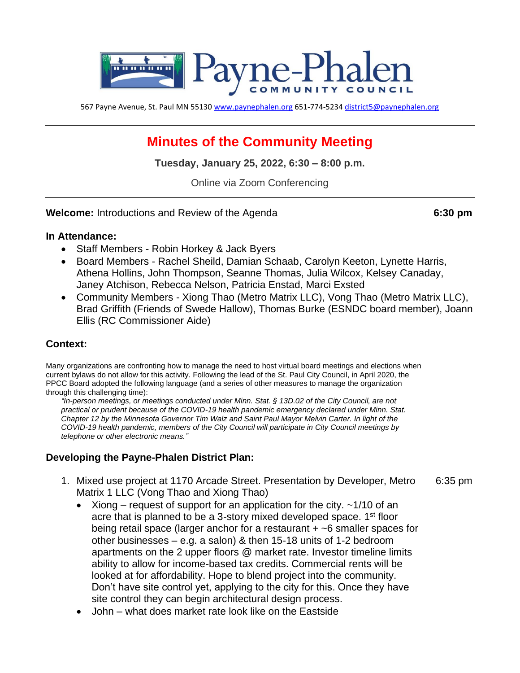

567 Payne Avenue, St. Paul MN 55130 [www.paynephalen.org](http://www.paynephalen.org/) 651-774-5234 [district5@paynephalen.org](mailto:district5@paynephalen.org)

# **Minutes of the Community Meeting**

**Tuesday, January 25, 2022, 6:30 – 8:00 p.m.**

Online via Zoom Conferencing

**Welcome:** Introductions and Review of the Agenda **6:30 pm**

#### **In Attendance:**

- Staff Members Robin Horkey & Jack Byers
- Board Members Rachel Sheild, Damian Schaab, Carolyn Keeton, Lynette Harris, Athena Hollins, John Thompson, Seanne Thomas, Julia Wilcox, Kelsey Canaday, Janey Atchison, Rebecca Nelson, Patricia Enstad, Marci Exsted
- Community Members Xiong Thao (Metro Matrix LLC), Vong Thao (Metro Matrix LLC), Brad Griffith (Friends of Swede Hallow), Thomas Burke (ESNDC board member), Joann Ellis (RC Commissioner Aide)

## **Context:**

Many organizations are confronting how to manage the need to host virtual board meetings and elections when current bylaws do not allow for this activity. Following the lead of the St. Paul City Council, in April 2020, the PPCC Board adopted the following language (and a series of other measures to manage the organization through this challenging time):

*"In-person meetings, or meetings conducted under Minn. Stat. § 13D.02 of the City Council, are not practical or prudent because of the COVID-19 health pandemic emergency declared under Minn. Stat. Chapter 12 by the Minnesota Governor Tim Walz and Saint Paul Mayor Melvin Carter. In light of the COVID-19 health pandemic, members of the City Council will participate in City Council meetings by telephone or other electronic means."*

## **Developing the Payne-Phalen District Plan:**

- 1. Mixed use project at 1170 Arcade Street. Presentation by Developer, Metro 6:35 pm Matrix 1 LLC (Vong Thao and Xiong Thao)
	- Xiong request of support for an application for the city.  $\sim$ 1/10 of an acre that is planned to be a 3-story mixed developed space. 1<sup>st</sup> floor being retail space (larger anchor for a restaurant + ~6 smaller spaces for other businesses – e.g. a salon) & then 15-18 units of 1-2 bedroom apartments on the 2 upper floors @ market rate. Investor timeline limits ability to allow for income-based tax credits. Commercial rents will be looked at for affordability. Hope to blend project into the community. Don't have site control yet, applying to the city for this. Once they have site control they can begin architectural design process.
	- John what does market rate look like on the Eastside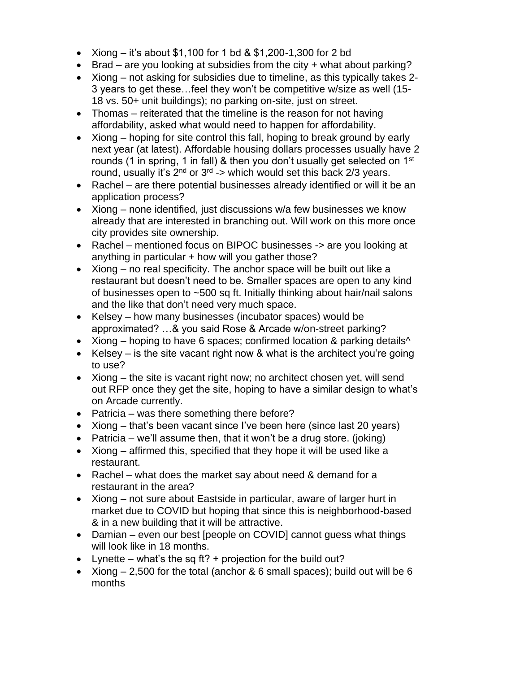- Xiong it's about \$1,100 for 1 bd & \$1,200-1,300 for 2 bd
- Brad are you looking at subsidies from the city + what about parking?
- Xiong not asking for subsidies due to timeline, as this typically takes 2- 3 years to get these…feel they won't be competitive w/size as well (15- 18 vs. 50+ unit buildings); no parking on-site, just on street.
- Thomas reiterated that the timeline is the reason for not having affordability, asked what would need to happen for affordability.
- Xiong hoping for site control this fall, hoping to break ground by early next year (at latest). Affordable housing dollars processes usually have 2 rounds (1 in spring, 1 in fall) & then you don't usually get selected on  $1<sup>st</sup>$ round, usually it's 2<sup>nd</sup> or 3<sup>rd</sup> -> which would set this back 2/3 years.
- Rachel are there potential businesses already identified or will it be an application process?
- Xiong none identified, just discussions w/a few businesses we know already that are interested in branching out. Will work on this more once city provides site ownership.
- Rachel mentioned focus on BIPOC businesses -> are you looking at anything in particular + how will you gather those?
- Xiong no real specificity. The anchor space will be built out like a restaurant but doesn't need to be. Smaller spaces are open to any kind of businesses open to ~500 sq ft. Initially thinking about hair/nail salons and the like that don't need very much space.
- Kelsey how many businesses (incubator spaces) would be approximated? …& you said Rose & Arcade w/on-street parking?
- Xiong hoping to have 6 spaces; confirmed location & parking details<sup> $\wedge$ </sup>
- Kelsey is the site vacant right now & what is the architect you're going to use?
- Xiong the site is vacant right now; no architect chosen yet, will send out RFP once they get the site, hoping to have a similar design to what's on Arcade currently.
- Patricia was there something there before?
- Xiong that's been vacant since I've been here (since last 20 years)
- Patricia we'll assume then, that it won't be a drug store. (joking)
- Xiong affirmed this, specified that they hope it will be used like a restaurant.
- Rachel what does the market say about need & demand for a restaurant in the area?
- Xiong not sure about Eastside in particular, aware of larger hurt in market due to COVID but hoping that since this is neighborhood-based & in a new building that it will be attractive.
- Damian even our best [people on COVID] cannot guess what things will look like in 18 months.
- Lynette what's the sq ft? + projection for the build out?
- Xiong  $-2,500$  for the total (anchor & 6 small spaces); build out will be 6 months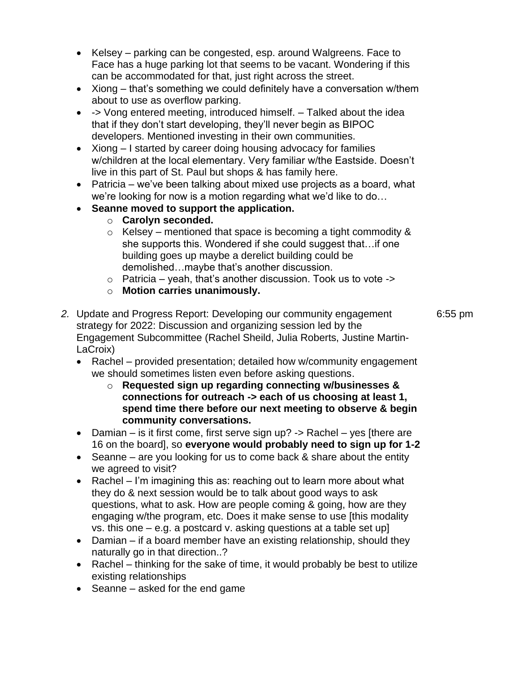- Kelsey parking can be congested, esp. around Walgreens. Face to Face has a huge parking lot that seems to be vacant. Wondering if this can be accommodated for that, just right across the street.
- Xiong that's something we could definitely have a conversation w/them about to use as overflow parking.
- -> Vong entered meeting, introduced himself. Talked about the idea that if they don't start developing, they'll never begin as BIPOC developers. Mentioned investing in their own communities.
- Xiong I started by career doing housing advocacy for families w/children at the local elementary. Very familiar w/the Eastside. Doesn't live in this part of St. Paul but shops & has family here.
- Patricia we've been talking about mixed use projects as a board, what we're looking for now is a motion regarding what we'd like to do…
- **Seanne moved to support the application.**
	- o **Carolyn seconded.**
	- $\circ$  Kelsey mentioned that space is becoming a tight commodity & she supports this. Wondered if she could suggest that... if one building goes up maybe a derelict building could be demolished…maybe that's another discussion.
	- $\circ$  Patricia yeah, that's another discussion. Took us to vote ->
	- o **Motion carries unanimously.**
- *2.* Update and Progress Report: Developing our community engagement 6:55 pm strategy for 2022: Discussion and organizing session led by the Engagement Subcommittee (Rachel Sheild, Julia Roberts, Justine Martin-LaCroix)
	- Rachel provided presentation; detailed how w/community engagement we should sometimes listen even before asking questions.
		- o **Requested sign up regarding connecting w/businesses & connections for outreach -> each of us choosing at least 1, spend time there before our next meeting to observe & begin community conversations.**
	- Damian is it first come, first serve sign up? -> Rachel yes [there are 16 on the board], so **everyone would probably need to sign up for 1-2**
	- Seanne are you looking for us to come back & share about the entity we agreed to visit?
	- Rachel I'm imagining this as: reaching out to learn more about what they do & next session would be to talk about good ways to ask questions, what to ask. How are people coming & going, how are they engaging w/the program, etc. Does it make sense to use [this modality vs. this one – e.g. a postcard v. asking questions at a table set up]
	- Damian if a board member have an existing relationship, should they naturally go in that direction..?
	- Rachel thinking for the sake of time, it would probably be best to utilize existing relationships
	- Seanne asked for the end game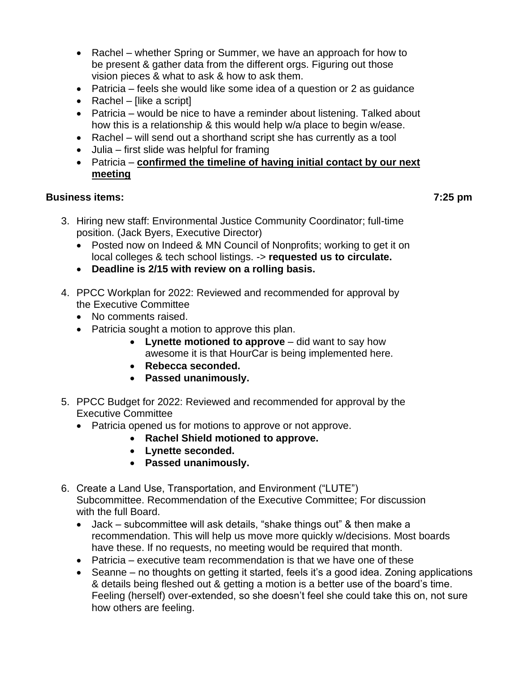- Rachel whether Spring or Summer, we have an approach for how to be present & gather data from the different orgs. Figuring out those vision pieces & what to ask & how to ask them.
- Patricia feels she would like some idea of a question or 2 as guidance
- Rachel [like a script]
- Patricia would be nice to have a reminder about listening. Talked about how this is a relationship & this would help w/a place to begin w/ease.
- Rachel will send out a shorthand script she has currently as a tool
- Julia first slide was helpful for framing
- Patricia **confirmed the timeline of having initial contact by our next meeting**

#### **Business items: 7:25 pm**

- 3. Hiring new staff: Environmental Justice Community Coordinator; full-time position. (Jack Byers, Executive Director)
	- Posted now on Indeed & MN Council of Nonprofits; working to get it on local colleges & tech school listings. -> **requested us to circulate.**
	- **Deadline is 2/15 with review on a rolling basis.**
- 4. PPCC Workplan for 2022: Reviewed and recommended for approval by the Executive Committee
	- No comments raised.
	- Patricia sought a motion to approve this plan.
		- **Lynette motioned to approve** did want to say how awesome it is that HourCar is being implemented here.
		- **Rebecca seconded.**
		- **Passed unanimously.**
- 5. PPCC Budget for 2022: Reviewed and recommended for approval by the Executive Committee
	- Patricia opened us for motions to approve or not approve.
		- **Rachel Shield motioned to approve.**
		- **Lynette seconded.**
		- **Passed unanimously.**
- 6. Create a Land Use, Transportation, and Environment ("LUTE") Subcommittee. Recommendation of the Executive Committee; For discussion with the full Board.
	- Jack subcommittee will ask details, "shake things out" & then make a recommendation. This will help us move more quickly w/decisions. Most boards have these. If no requests, no meeting would be required that month.
	- Patricia executive team recommendation is that we have one of these
	- Seanne no thoughts on getting it started, feels it's a good idea. Zoning applications & details being fleshed out & getting a motion is a better use of the board's time. Feeling (herself) over-extended, so she doesn't feel she could take this on, not sure how others are feeling.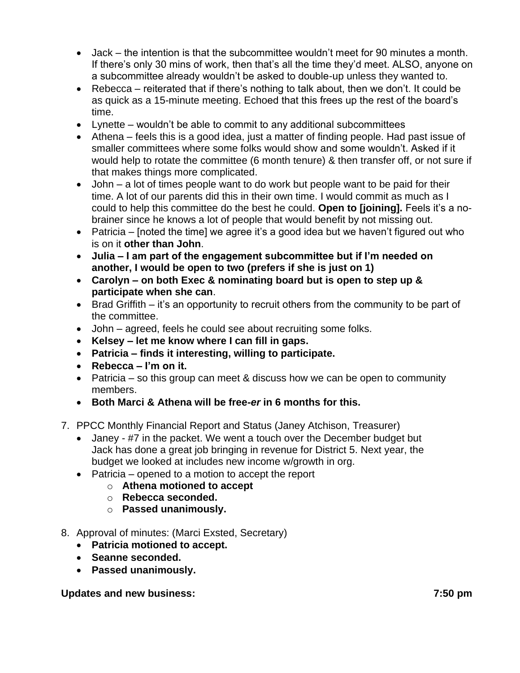- Jack the intention is that the subcommittee wouldn't meet for 90 minutes a month. If there's only 30 mins of work, then that's all the time they'd meet. ALSO, anyone on a subcommittee already wouldn't be asked to double-up unless they wanted to.
- Rebecca reiterated that if there's nothing to talk about, then we don't. It could be as quick as a 15-minute meeting. Echoed that this frees up the rest of the board's time.
- Lynette wouldn't be able to commit to any additional subcommittees
- Athena feels this is a good idea, just a matter of finding people. Had past issue of smaller committees where some folks would show and some wouldn't. Asked if it would help to rotate the committee (6 month tenure) & then transfer off, or not sure if that makes things more complicated.
- John a lot of times people want to do work but people want to be paid for their time. A lot of our parents did this in their own time. I would commit as much as I could to help this committee do the best he could. **Open to [joining].** Feels it's a nobrainer since he knows a lot of people that would benefit by not missing out.
- Patricia [noted the time] we agree it's a good idea but we haven't figured out who is on it **other than John**.
- **Julia – I am part of the engagement subcommittee but if I'm needed on another, I would be open to two (prefers if she is just on 1)**
- **Carolyn – on both Exec & nominating board but is open to step up & participate when she can**.
- Brad Griffith it's an opportunity to recruit others from the community to be part of the committee.
- John agreed, feels he could see about recruiting some folks.
- **Kelsey – let me know where I can fill in gaps.**
- **Patricia – finds it interesting, willing to participate.**
- **Rebecca – I'm on it.**
- Patricia so this group can meet & discuss how we can be open to community members.
- **Both Marci & Athena will be free***-er* **in 6 months for this.**
- 7. PPCC Monthly Financial Report and Status (Janey Atchison, Treasurer)
	- Janey #7 in the packet. We went a touch over the December budget but Jack has done a great job bringing in revenue for District 5. Next year, the budget we looked at includes new income w/growth in org.
	- Patricia opened to a motion to accept the report
		- o **Athena motioned to accept** 
			- o **Rebecca seconded.**
			- o **Passed unanimously.**
- 8. Approval of minutes: (Marci Exsted, Secretary)
	- **Patricia motioned to accept.**
	- **Seanne seconded.**
	- **Passed unanimously.**

## **Updates and new business: 7:50 pm**